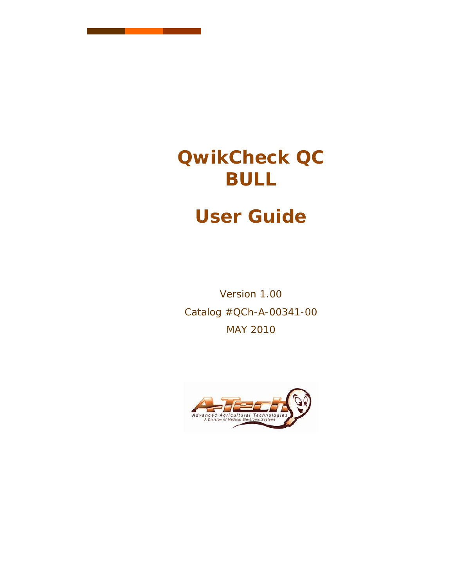# **QwikCheck QC BULL**

# **User Guide**

Version 1.00 Catalog #QCh-A-00341-00 MAY 2010

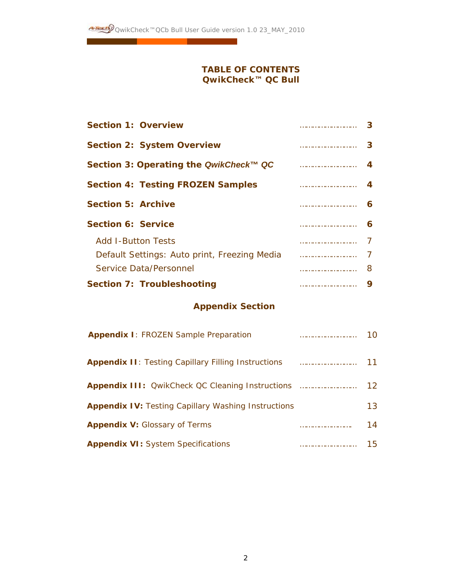### **TABLE OF CONTENTS QwikCheck™ QC Bull**

| <b>Section 2: System Overview</b><br>Section 3: Operating the QwikCheck™ QC<br><b>Section 4: Testing FROZEN Samples</b><br><b>Section 5: Archive</b><br><b>Section 6: Service</b><br><b>Add I-Button Tests</b><br>Default Settings: Auto print, Freezing Media<br>Service Data/Personnel<br>8 | <b>Section 1: Overview</b>        |   |
|-----------------------------------------------------------------------------------------------------------------------------------------------------------------------------------------------------------------------------------------------------------------------------------------------|-----------------------------------|---|
|                                                                                                                                                                                                                                                                                               |                                   | 3 |
|                                                                                                                                                                                                                                                                                               |                                   |   |
|                                                                                                                                                                                                                                                                                               |                                   |   |
|                                                                                                                                                                                                                                                                                               |                                   | 6 |
|                                                                                                                                                                                                                                                                                               |                                   | 6 |
|                                                                                                                                                                                                                                                                                               |                                   |   |
|                                                                                                                                                                                                                                                                                               |                                   |   |
|                                                                                                                                                                                                                                                                                               |                                   |   |
| 9                                                                                                                                                                                                                                                                                             | <b>Section 7: Troubleshooting</b> |   |

### **Appendix Section**

| <b>Appendix I: FROZEN Sample Preparation</b>               | 10  |
|------------------------------------------------------------|-----|
| <b>Appendix II:</b> Testing Capillary Filling Instructions |     |
|                                                            | 12. |
| <b>Appendix IV:</b> Testing Capillary Washing Instructions | 13. |
| <b>Appendix V:</b> Glossary of Terms                       | 14  |
| <b>Appendix VI:</b> System Specifications                  | 15  |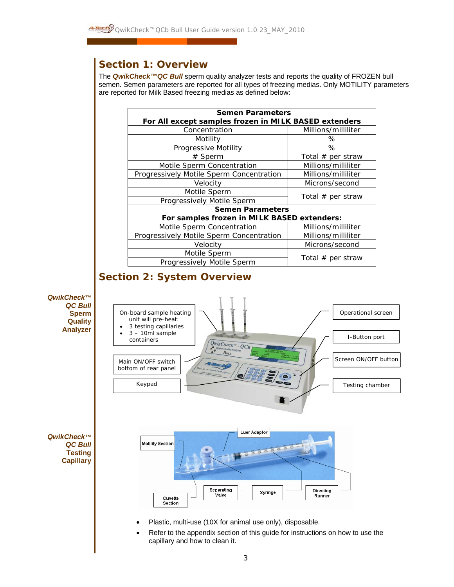# *Section 1: Overview*

 The *QwikCheck™QC Bull* sperm quality analyzer tests and reports the quality of FROZEN bull semen. Semen parameters are reported for all types of freezing medias. Only MOTILITY parameters are reported for Milk Based freezing medias as defined below:

| <b>Semen Parameters</b>                               |                     |  |  |
|-------------------------------------------------------|---------------------|--|--|
| For All except samples frozen in MILK BASED extenders |                     |  |  |
| Concentration                                         | Millions/milliliter |  |  |
| Motility                                              | ℅                   |  |  |
| Progressive Motility                                  | ℅                   |  |  |
| # Sperm                                               | Total $#$ per straw |  |  |
| Motile Sperm Concentration                            | Millions/milliliter |  |  |
| Progressively Motile Sperm Concentration              | Millions/milliliter |  |  |
| Velocity                                              | Microns/second      |  |  |
| Motile Sperm                                          |                     |  |  |
| Progressively Motile Sperm                            | Total $#$ per straw |  |  |
| <b>Semen Parameters</b>                               |                     |  |  |
| For samples frozen in MILK BASED extenders:           |                     |  |  |
| Motile Sperm Concentration                            | Millions/milliliter |  |  |
| Progressively Motile Sperm Concentration              | Millions/milliliter |  |  |
| Velocity                                              | Microns/second      |  |  |
| Motile Sperm                                          |                     |  |  |
| Total $#$ per straw<br>Progressively Motile Sperm     |                     |  |  |

# *Section 2: System Overview*

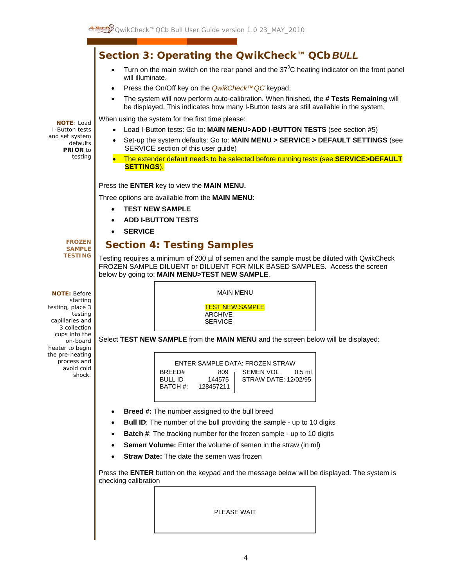*Section 3: Operating the QwikCheck™ QCb BULL*  **NOTE**: Load I-Button tests and set system defaults **PRIOR** to testing **FROZEN SAMPLE TESTING NOTE:** Before starting testing, place 3 testing capillaries and 3 collection cups into the on-board heater to begin the pre-heating process and avoid cold shock. • Turn on the main switch on the rear panel and the  $37^{\circ}$ C heating indicator on the front panel will illuminate. • Press the On/Off key on the *QwikCheck™QC* keypad. • The system will now perform auto-calibration. When finished, the **# Tests Remaining** will be displayed. This indicates how many I-Button tests are still available in the system. When using the system for the first time please: • Load I-Button tests: Go to: **MAIN MENU>ADD I-BUTTON TESTS** (see section #5) • Set-up the system defaults: Go to: **MAIN MENU > SERVICE > DEFAULT SETTINGS** (see SERVICE section of this user guide) • The extender default needs to be selected before running tests (see **SERVICE>DEFAULT SETTINGS**). Press the **ENTER** key to view the **MAIN MENU.** Three options are available from the **MAIN MENU**: • **TEST NEW SAMPLE**  • **ADD I-BUTTON TESTS**  • **SERVICE**   *Section 4: Testing Samples*  Testing requires a minimum of 200 µl of semen and the sample must be diluted with QwikCheck FROZEN SAMPLE DILUENT or DILUENT FOR MILK BASED SAMPLES. Access the screen below by going to: **MAIN MENU>TEST NEW SAMPLE**. Select **TEST NEW SAMPLE** from the **MAIN MENU** and the screen below will be displayed: • **Breed #:** The number assigned to the bull breed **Bull ID:** The number of the bull providing the sample - up to 10 digits • **Batch #**: The tracking number for the frozen sample - up to 10 digits **Semen Volume:** Enter the volume of semen in the straw (in ml) **Straw Date:** The date the semen was frozen Press the **ENTER** button on the keypad and the message below will be displayed. The system is checking calibration MAIN MENU TEST NEW SAMPLE ARCHIVE **SERVICE** ENTER SAMPLE DATA: FROZEN STRAW BREED# 809 | SEMEN VOL 0.5 ml BULL ID 144575 | STRAW DATE: 12/02/95 BATCH #: 128457211

PLEASE WAIT

4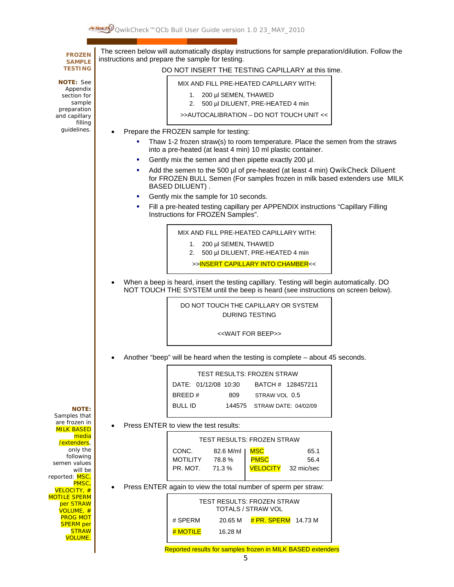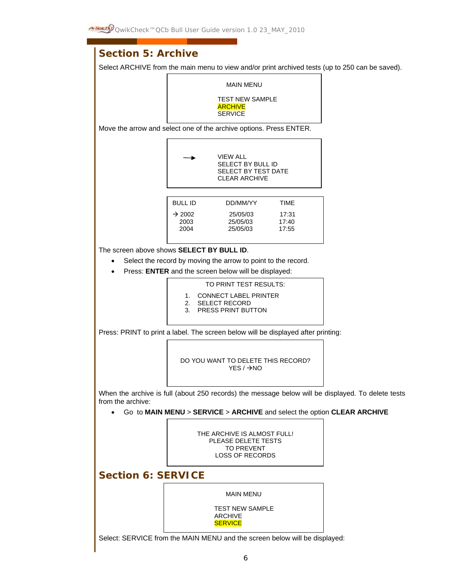

Select: SERVICE from the MAIN MENU and the screen below will be displayed: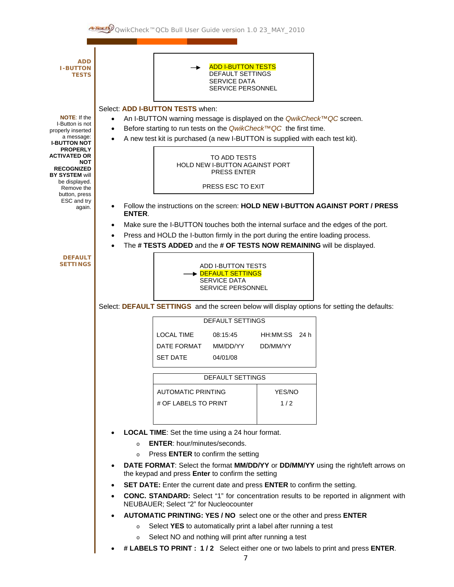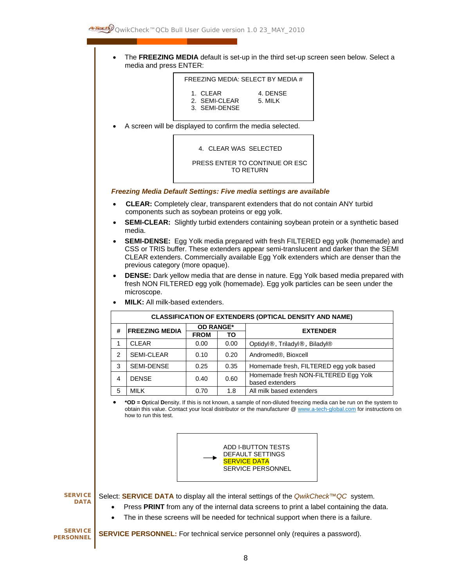• The **FREEZING MEDIA** default is set-up in the third set-up screen seen below. Select a media and press ENTER:

| FREEZING MEDIA: SELECT BY MEDIA #          |                     |  |
|--------------------------------------------|---------------------|--|
| 1. CIFAR<br>2. SEMI-CLEAR<br>3. SEMI-DENSE | 4. DENSE<br>5. MILK |  |

• A screen will be displayed to confirm the media selected.

4. CLEAR WAS SELECTED

PRESS ENTER TO CONTINUE OR ESC TO RETURN

#### *Freezing Media Default Settings: Five media settings are available*

- • **CLEAR:** Completely clear, transparent extenders that do not contain ANY turbid components such as soybean proteins or egg yolk.
- **SEMI-CLEAR:** Slightly turbid extenders containing soybean protein or a synthetic based media.
- **SEMI-DENSE:** Egg Yolk media prepared with fresh FILTERED egg yolk (homemade) and CSS or TRIS buffer. These extenders appear semi-translucent and darker than the SEMI CLEAR extenders. Commercially available Egg Yolk extenders which are denser than the previous category (more opaque).
- **DENSE:** Dark yellow media that are dense in nature. Egg Yolk based media prepared with fresh NON FILTERED egg yolk (homemade). Egg yolk particles can be seen under the microscope.

|   | <b>CLASSIFICATION OF EXTENDERS (OPTICAL DENSITY AND NAME)</b> |                  |      |                                                         |
|---|---------------------------------------------------------------|------------------|------|---------------------------------------------------------|
| # | <b>FREEZING MEDIA</b>                                         | <b>OD RANGE*</b> |      | <b>EXTENDER</b>                                         |
|   |                                                               | <b>FROM</b>      | ΤО   |                                                         |
|   | <b>CLEAR</b>                                                  | 0.00             | 0.00 | Optidyl®, Triladyl®, Biladyl®                           |
| 2 | <b>SEMI-CLEAR</b>                                             | 0.10             | 0.20 | Andromed®, Bioxcell                                     |
| 3 | <b>SEMI-DENSE</b>                                             | 0.25             | 0.35 | Homemade fresh, FILTERED egg yolk based                 |
| 4 | <b>DENSE</b>                                                  | 0.40             | 0.60 | Homemade fresh NON-FILTERED Egg Yolk<br>based extenders |
| 5 | <b>MILK</b>                                                   | 0.70             | 1.8  | All milk based extenders                                |

• **MILK:** All milk-based extenders.

• **\*OD = O**ptical **D**ensity. If this is not known, a sample of non-diluted freezing media can be run on the system to obtain this value. Contact your local distributor or the manufacturer @ www.a-tech-global.com for instructions on how to run this test.



**SERVICE DATA** 

Select: **SERVICE DATA** to display all the interal settings of the *QwikCheck™QC* system.

- Press **PRINT** from any of the internal data screens to print a label containing the data.
- The in these screens will be needed for technical support when there is a failure.

**SERVICE PERSONNEL** 

**SERVICE PERSONNEL:** For technical service personnel only (requires a password).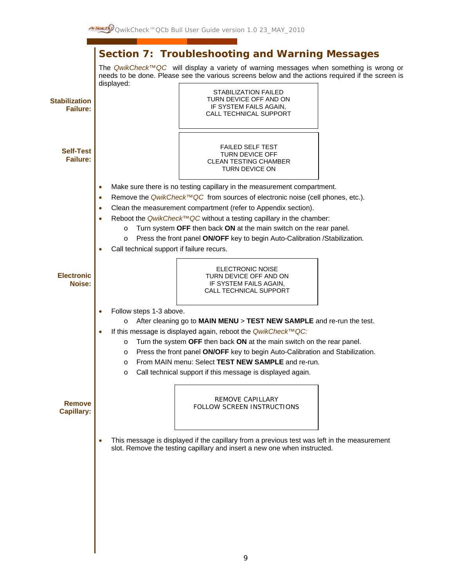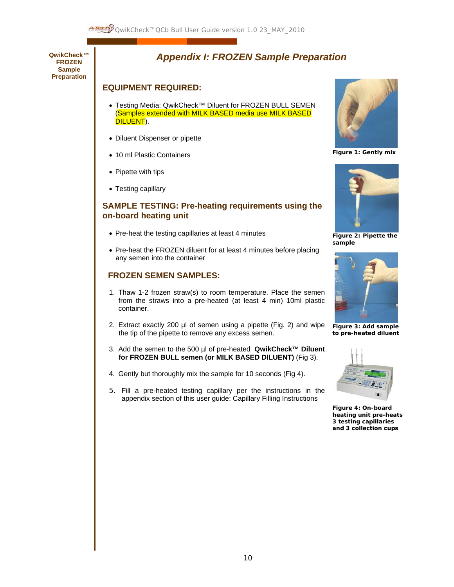

**QwikCheck™ FROZEN Sample Preparation** 

### *Appendix I: FROZEN Sample Preparation*

### **EQUIPMENT REQUIRED:**

- Testing Media: QwikCheck™ Diluent for FROZEN BULL SEMEN (Samples extended with MILK BASED media use MILK BASED DILUENT).
- Diluent Dispenser or pipette
- 10 ml Plastic Containers
- Pipette with tips
- Testing capillary

### **SAMPLE TESTING: Pre-heating requirements using the on-board heating unit**

- Pre-heat the testing capillaries at least 4 minutes
- Pre-heat the FROZEN diluent for at least 4 minutes before placing any semen into the container

### **FROZEN SEMEN SAMPLES:**

- 1. Thaw 1-2 frozen straw(s) to room temperature. Place the semen from the straws into a pre-heated (at least 4 min) 10ml plastic container.
- 2. Extract exactly 200 µl of semen using a pipette (Fig. 2) and wipe the tip of the pipette to remove any excess semen.
- 3. Add the semen to the 500 µl of pre-heated **QwikCheck™ Diluent for FROZEN BULL semen (or MILK BASED DILUENT)** (Fig 3).
- 4. Gently but thoroughly mix the sample for 10 seconds (Fig 4).
- 5. Fill a pre-heated testing capillary per the instructions in the appendix section of this user guide: Capillary Filling Instructions



**Figure 1: Gently mix**



**Figure 2: Pipette the sample** 



**Figure 3: Add sample to pre-heated diluent** 



**Figure 4: On-board heating unit pre-heats 3 testing capillaries and 3 collection cups**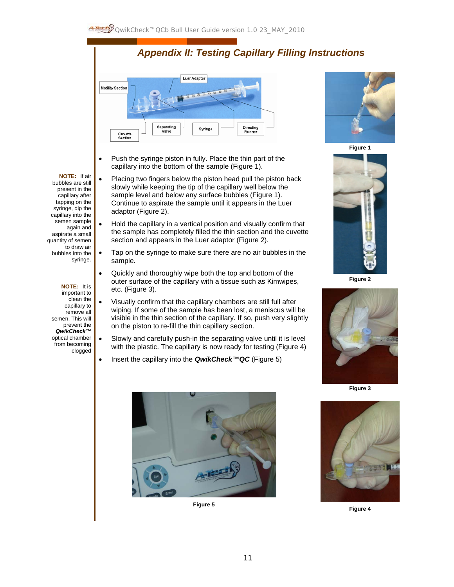# *Appendix II: Testing Capillary Filling Instructions*



- Push the syringe piston in fully. Place the thin part of the capillary into the bottom of the sample (Figure 1).
- Placing two fingers below the piston head pull the piston back slowly while keeping the tip of the capillary well below the sample level and below any surface bubbles (Figure 1). Continue to aspirate the sample until it appears in the Luer adaptor (Figure 2).
- Hold the capillary in a vertical position and visually confirm that the sample has completely filled the thin section and the cuvette section and appears in the Luer adaptor (Figure 2).
- Tap on the syringe to make sure there are no air bubbles in the sample.
- Quickly and thoroughly wipe both the top and bottom of the outer surface of the capillary with a tissue such as Kimwipes, etc. (Figure 3).
- Visually confirm that the capillary chambers are still full after wiping. If some of the sample has been lost, a meniscus will be visible in the thin section of the capillary. If so, push very slightly on the piston to re-fill the thin capillary section.
- Slowly and carefully push-in the separating valve until it is level with the plastic. The capillary is now ready for testing (Figure 4)
- Insert the capillary into the *QwikCheck™QC* (Figure 5)





**Figure 1**



**Figure 2** 



**Figure 3**



#### **NOTE:** If air bubbles are still

present in the capillary after tapping on the syringe, dip the capillary into the semen sample

again and aspirate a small quantity of semen to draw air bubbles into the syringe.

#### **NOTE:** It is

important to clean the capillary to remove all semen. This will prevent the *QwikCheck™*  optical chamber from becoming clogged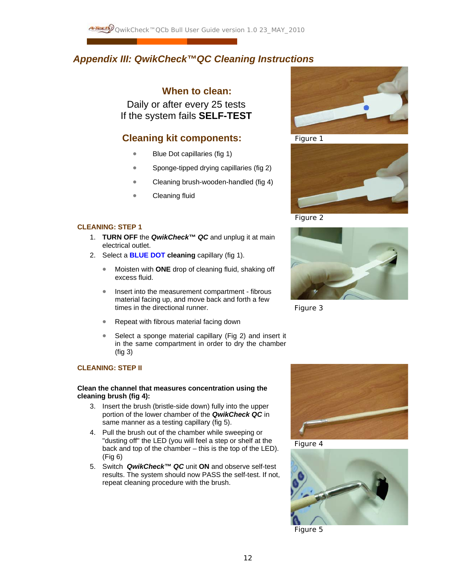### *Appendix III: QwikCheck™QC Cleaning Instructions*

### **When to clean:**

Daily or after every 25 tests If the system fails **SELF-TEST**

### **Cleaning kit components:**

- Blue Dot capillaries (fig 1)
- Sponge-tipped drying capillaries (fig 2)
- Cleaning brush-wooden-handled (fig 4)
- Cleaning fluid

#### **CLEANING: STEP 1**

- 1. **TURN OFF** the *QwikCheck™ QC* and unplug it at main electrical outlet.
- 2. Select a **BLUE DOT cleaning** capillary (fig 1).
	- Moisten with **ONE** drop of cleaning fluid, shaking off excess fluid.
	- Insert into the measurement compartment fibrous material facing up, and move back and forth a few times in the directional runner.
	- Repeat with fibrous material facing down
	- Select a sponge material capillary (Fig 2) and insert it in the same compartment in order to dry the chamber (fig 3)

#### **CLEANING: STEP II**

#### **Clean the channel that measures concentration using the cleaning brush (fig 4):**

- 3. Insert the brush (bristle-side down) fully into the upper portion of the lower chamber of the *QwikCheck QC* in same manner as a testing capillary (fig 5).
- 4. Pull the brush out of the chamber while sweeping or "dusting off" the LED (you will feel a step or shelf at the back and top of the chamber – this is the top of the LED). (Fig 6)
- 5. Switch *QwikCheck™ QC* unit **ON** and observe self-test results. The system should now PASS the self-test. If not, repeat cleaning procedure with the brush.



Figure 1



Figure 2



Figure 3



Figure 4



Figure 5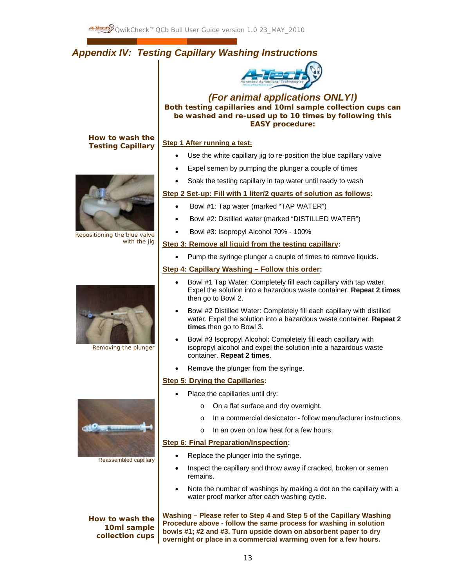## *Appendix IV: Testing Capillary Washing Instructions*



*(For animal applications ONLY!)*  **Both testing capillaries and 10ml sample collection cups can be washed and re-used up to 10 times by following this EASY procedure:** 

### **How to wash the Testing Capillary**



Repositioning the blue valve with the jig



Removing the plunger



Reassembled capillary

**How to wash the 10ml sample collection cups**

#### **Step 1 After running a test:**

- Use the white capillary jig to re-position the blue capillary valve
- Expel semen by pumping the plunger a couple of times
- Soak the testing capillary in tap water until ready to wash

#### **Step 2 Set-up: Fill with 1 liter/2 quarts of solution as follows:**

- Bowl #1: Tap water (marked "TAP WATER")
- Bowl #2: Distilled water (marked "DISTILLED WATER")
- Bowl #3: Isopropyl Alcohol 70% 100%

#### **Step 3: Remove all liquid from the testing capillary:**

• Pump the syringe plunger a couple of times to remove liquids.

### **Step 4: Capillary Washing – Follow this order:**

- Bowl #1 Tap Water: Completely fill each capillary with tap water. Expel the solution into a hazardous waste container. **Repeat 2 times** then go to Bowl 2.
- Bowl #2 Distilled Water: Completely fill each capillary with distilled water. Expel the solution into a hazardous waste container. **Repeat 2 times** then go to Bowl 3.
- Bowl #3 Isopropyl Alcohol: Completely fill each capillary with isopropyl alcohol and expel the solution into a hazardous waste container. **Repeat 2 times**.
- Remove the plunger from the syringe.

#### **Step 5: Drying the Capillaries:**

- Place the capillaries until dry:
	- o On a flat surface and dry overnight.
	- o In a commercial desiccator follow manufacturer instructions.
	- o In an oven on low heat for a few hours.

#### **Step 6: Final Preparation/Inspection:**

- Replace the plunger into the syringe.
- Inspect the capillary and throw away if cracked, broken or semen remains.
- Note the number of washings by making a dot on the capillary with a water proof marker after each washing cycle.

**Washing – Please refer to Step 4 and Step 5 of the Capillary Washing Procedure above - follow the same process for washing in solution bowls #1; #2 and #3. Turn upside down on absorbent paper to dry overnight or place in a commercial warming oven for a few hours.**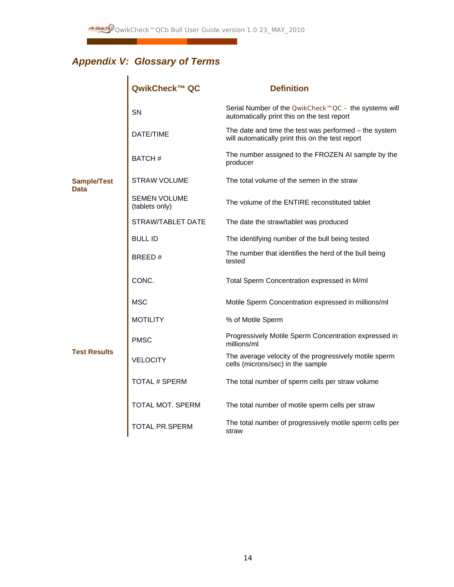# *Appendix V: Glossary of Terms*

|                            | QwikCheck™ QC                  | <b>Definition</b>                                                                                          |
|----------------------------|--------------------------------|------------------------------------------------------------------------------------------------------------|
|                            | SN                             | Serial Number of the <i>QwikCheck™QC</i> – the systems will<br>automatically print this on the test report |
|                            | DATE/TIME                      | The date and time the test was performed - the system<br>will automatically print this on the test report  |
|                            | BATCH#                         | The number assigned to the FROZEN AI sample by the<br>producer                                             |
| <b>Sample/Test</b><br>Data | <b>STRAW VOLUME</b>            | The total volume of the semen in the straw                                                                 |
|                            | SEMEN VOLUME<br>(tablets only) | The volume of the ENTIRE reconstituted tablet                                                              |
|                            | STRAW/TABLET DATE              | The date the straw/tablet was produced                                                                     |
|                            | <b>BULL ID</b>                 | The identifying number of the bull being tested                                                            |
|                            | BREED#                         | The number that identifies the herd of the bull being<br>tested                                            |
|                            | CONC.                          | Total Sperm Concentration expressed in M/ml                                                                |
|                            | <b>MSC</b>                     | Motile Sperm Concentration expressed in millions/ml                                                        |
|                            | MOTILITY                       | % of Motile Sperm                                                                                          |
|                            | <b>PMSC</b>                    | Progressively Motile Sperm Concentration expressed in<br>millions/ml                                       |
| <b>Test Results</b>        | VELOCITY                       | The average velocity of the progressively motile sperm<br>cells (microns/sec) in the sample                |
|                            | TOTAL # SPERM                  | The total number of sperm cells per straw volume                                                           |
|                            | TOTAL MOT. SPERM               | The total number of motile sperm cells per straw                                                           |
|                            | <b>TOTAL PR.SPERM</b>          | The total number of progressively motile sperm cells per<br>straw                                          |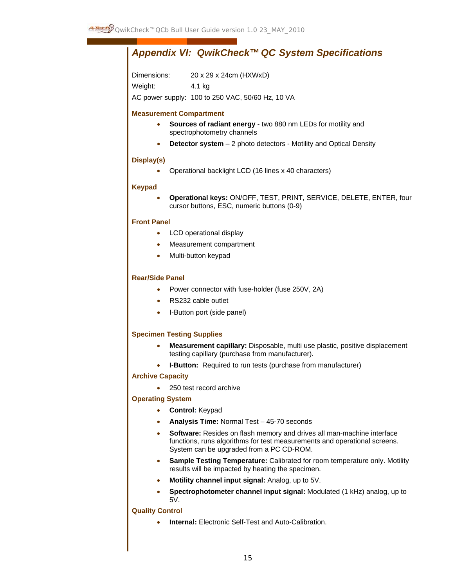## *Appendix VI: QwikCheck™ QC System Specifications*

Dimensions: 20 x 29 x 24cm (HXWxD) Weight: 4.1 kg AC power supply: 100 to 250 VAC, 50/60 Hz, 10 VA

#### **Measurement Compartment**

- **Sources of radiant energy** two 880 nm LEDs for motility and spectrophotometry channels
- **Detector system** 2 photo detectors Motility and Optical Density

#### **Display(s)**

• Operational backlight LCD (16 lines x 40 characters)

#### **Keypad**

• **Operational keys:** ON/OFF, TEST, PRINT, SERVICE, DELETE, ENTER, four cursor buttons, ESC, numeric buttons (0-9)

#### **Front Panel**

- LCD operational display
- Measurement compartment
- Multi-button keypad

#### **Rear/Side Panel**

- Power connector with fuse-holder (fuse 250V, 2A)
- RS232 cable outlet
- I-Button port (side panel)

#### **Specimen Testing Supplies**

- **Measurement capillary:** Disposable, multi use plastic, positive displacement testing capillary (purchase from manufacturer).
- **I-Button:** Required to run tests (purchase from manufacturer)

#### **Archive Capacity**

• 250 test record archive

#### **Operating System**

- **Control:** Keypad
- **Analysis Time:** Normal Test 45-70 seconds
- **Software:** Resides on flash memory and drives all man-machine interface functions, runs algorithms for test measurements and operational screens. System can be upgraded from a PC CD-ROM.
- **Sample Testing Temperature:** Calibrated for room temperature only. Motility results will be impacted by heating the specimen.
- **Motility channel input signal:** Analog, up to 5V.
- **Spectrophotometer channel input signal:** Modulated (1 kHz) analog, up to 5V.

#### **Quality Control**

• **Internal:** Electronic Self-Test and Auto-Calibration.